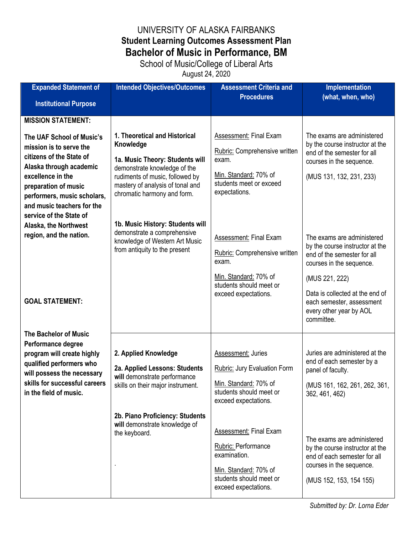## UNIVERSITY OF ALASKA FAIRBANKS **Student Learning Outcomes Assessment Plan Bachelor of Music in Performance, BM**

School of Music/College of Liberal Arts

August 24, 2020

| <b>Expanded Statement of</b>                            | <b>Intended Objectives/Outcomes</b>                                 | <b>Assessment Criteria and</b>                   | <b>Implementation</b>                                          |
|---------------------------------------------------------|---------------------------------------------------------------------|--------------------------------------------------|----------------------------------------------------------------|
| <b>Institutional Purpose</b>                            |                                                                     | <b>Procedures</b>                                | (what, when, who)                                              |
|                                                         |                                                                     |                                                  |                                                                |
| <b>MISSION STATEMENT:</b>                               |                                                                     |                                                  |                                                                |
| The UAF School of Music's                               | 1. Theoretical and Historical                                       | Assessment: Final Exam                           | The exams are administered                                     |
| mission is to serve the                                 | Knowledge                                                           | Rubric: Comprehensive written                    | by the course instructor at the<br>end of the semester for all |
| citizens of the State of                                | 1a. Music Theory: Students will                                     | exam.                                            | courses in the sequence.                                       |
| Alaska through academic<br>excellence in the            | demonstrate knowledge of the                                        | Min. Standard: 70% of                            |                                                                |
| preparation of music                                    | rudiments of music, followed by<br>mastery of analysis of tonal and | students meet or exceed                          | (MUS 131, 132, 231, 233)                                       |
| performers, music scholars,                             | chromatic harmony and form.                                         | expectations.                                    |                                                                |
| and music teachers for the                              |                                                                     |                                                  |                                                                |
| service of the State of                                 |                                                                     |                                                  |                                                                |
| Alaska, the Northwest                                   | 1b. Music History: Students will                                    |                                                  |                                                                |
| region, and the nation.                                 | demonstrate a comprehensive<br>knowledge of Western Art Music       | <b>Assessment: Final Exam</b>                    | The exams are administered                                     |
|                                                         | from antiquity to the present                                       | Rubric: Comprehensive written                    | by the course instructor at the<br>end of the semester for all |
|                                                         |                                                                     | exam.                                            | courses in the sequence.                                       |
|                                                         |                                                                     | Min. Standard: 70% of                            |                                                                |
|                                                         |                                                                     | students should meet or                          | (MUS 221, 222)                                                 |
| <b>GOAL STATEMENT:</b>                                  |                                                                     | exceed expectations.                             | Data is collected at the end of                                |
|                                                         |                                                                     |                                                  | each semester, assessment<br>every other year by AOL           |
|                                                         |                                                                     |                                                  | committee.                                                     |
| <b>The Bachelor of Music</b>                            |                                                                     |                                                  |                                                                |
| Performance degree                                      |                                                                     |                                                  |                                                                |
| program will create highly                              | 2. Applied Knowledge                                                | <b>Assessment: Juries</b>                        | Juries are administered at the                                 |
| qualified performers who                                | 2a. Applied Lessons: Students                                       | <b>Rubric: Jury Evaluation Form</b>              | end of each semester by a<br>panel of faculty.                 |
| will possess the necessary                              | will demonstrate performance                                        |                                                  |                                                                |
| skills for successful careers<br>in the field of music. | skills on their major instrument.                                   | Min. Standard: 70% of<br>students should meet or | (MUS 161, 162, 261, 262, 361,<br>362, 461, 462)                |
|                                                         |                                                                     | exceed expectations.                             |                                                                |
|                                                         | 2b. Piano Proficiency: Students                                     |                                                  |                                                                |
|                                                         | will demonstrate knowledge of                                       |                                                  |                                                                |
|                                                         | the keyboard.                                                       | Assessment: Final Exam                           | The exams are administered                                     |
|                                                         |                                                                     | Rubric: Performance                              | by the course instructor at the                                |
|                                                         |                                                                     | examination.                                     | end of each semester for all                                   |
|                                                         |                                                                     | Min. Standard: 70% of                            | courses in the sequence.                                       |
|                                                         |                                                                     | students should meet or                          | (MUS 152, 153, 154 155)                                        |
|                                                         |                                                                     | exceed expectations.                             |                                                                |